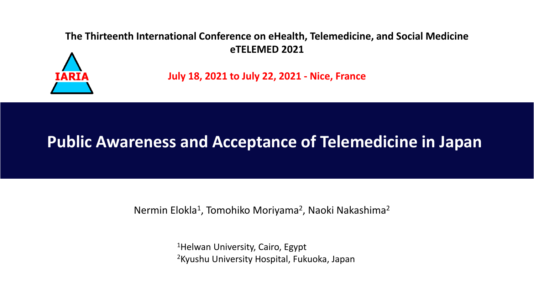#### **The Thirteenth International Conference on eHealth, Telemedicine, and Social Medicine eTELEMED 2021**



**July 18, 2021 to July 22, 2021 - Nice, France**

## **Public Awareness and Acceptance of Telemedicine in Japan**

Nermin Elokla<sup>1</sup>, Tomohiko Moriyama<sup>2</sup>, Naoki Nakashima<sup>2</sup>

<sup>1</sup>Helwan University, Cairo, Egypt 2Kyushu University Hospital, Fukuoka, Japan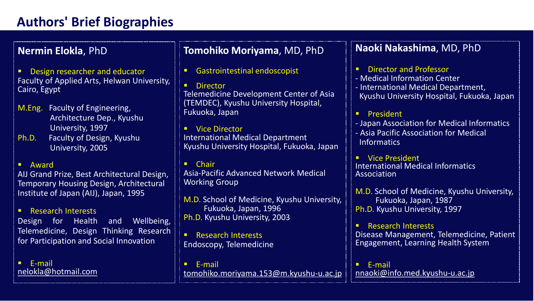### **Authors' Brief Biographies**

**Nermin Elokla**, PhD

■ Design researcher and educator Faculty of Applied Arts, Helwan University, Cairo, Egypt

- M.Eng. Faculty of Engineering, Architecture Dep., Kyushu University, 1997
- Ph.D. Faculty of Design, Kyushu University, 2005

#### ▪ Award

AIJ Grand Prize, Best Architectural Design, Temporary Housing Design, Architectural Institute of Japan (AIJ), Japan, 1995

**E** Research Interests

Design for Health and Wellbeing, Telemedicine, Design Thinking Research for Participation and Social Innovation

▪ E-mail [nelokla@hotmail.com](mailto:nelokla@hotmail.com)

#### **Tomohiko Moriyama**, MD, PhD

■ Gastrointestinal endoscopist

■ Director Telemedicine Development Center of Asia (TEMDEC), Kyushu University Hospital, Fukuoka, Japan

▪ Vice Director International Medical Department Kyushu University Hospital, Fukuoka, Japan

▪ Chair Asia-Pacific Advanced Network Medical Working Group

M.D. School of Medicine, Kyushu University, Fukuoka, Japan, 1996 Ph.D. Kyushu University, 2003

■ Research Interests Endoscopy, Telemedicine

▪ E-mail [tomohiko.moriyama.153@m.kyushu-u.ac.jp](mailto:tomohiko.moriyama.153@m.kyushu-u.ac.jp)

#### **Naoki Nakashima**, MD, PhD

**Director and Professor** 

- Medical Information Center - International Medical Department, Kyushu University Hospital, Fukuoka, Japan

**President** 

- Japan Association for Medical Informatics - Asia Pacific Association for Medical Informatics

■ Vice President International Medical Informatics Association

M.D. School of Medicine, Kyushu University, Fukuoka, Japan, 1987 Ph.D. Kyushu University, 1997

**Research Interests** Disease Management, Telemedicine, Patient Engagement, Learning Health System

▪ E-mail [nnaoki@info.med.kyushu-u.ac.jp](mailto:nnaoki@info.med.kyushu-u.ac.jp)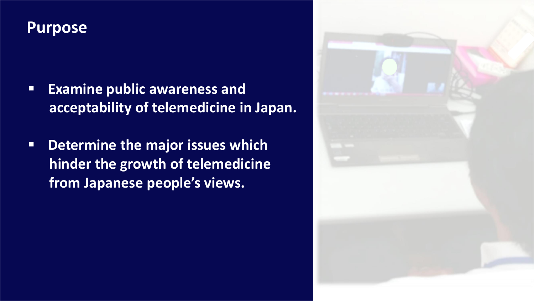### **Purpose**

- **Examine public awareness and acceptability of telemedicine in Japan.**
- **Determine the major issues which hinder the growth of telemedicine from Japanese people's views.**

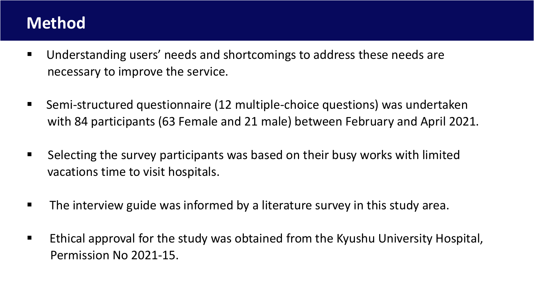## **Method**

- Understanding users' needs and shortcomings to address these needs are necessary to improve the service.
- Semi-structured questionnaire (12 multiple-choice questions) was undertaken with 84 participants (63 Female and 21 male) between February and April 2021.
- Selecting the survey participants was based on their busy works with limited vacations time to visit hospitals.
- **The interview guide was informed by a literature survey in this study area.**
- Ethical approval for the study was obtained from the Kyushu University Hospital, Permission No 2021-15.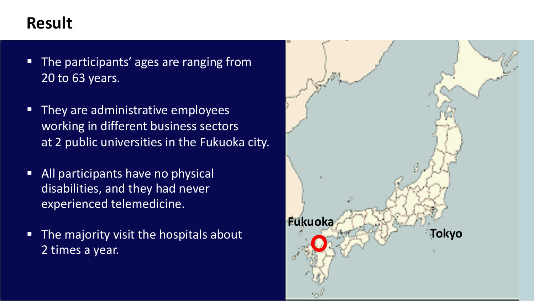- The participants' ages are ranging from 20 to 63 years.
- They are administrative employees working in different business sectors at 2 public universities in the Fukuoka city.
- **EXTED All participants have no physical** disabilities, and they had never experienced telemedicine.
- The majority visit the hospitals about 2 times a year.

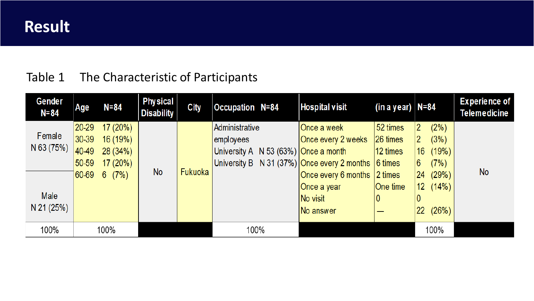### Table 1 The Characteristic of Participants

| Gender<br>$N = 84$ | Age       | $N = 84$            | <b>Physical</b><br><b>Disability</b> | <b>City</b> | <b>Occupation N=84</b> | Hospital visit                                                  | (in a year)  N=84 |                          | <b>Experience of</b><br><b>Telemedicine</b> |
|--------------------|-----------|---------------------|--------------------------------------|-------------|------------------------|-----------------------------------------------------------------|-------------------|--------------------------|---------------------------------------------|
|                    | $ 20-29 $ | 17(20%)             |                                      |             | Administrative         | Once a week                                                     | 52 times          | $(2\%)$<br>2             |                                             |
| Female             | $ 30-39 $ | 16(19%)             |                                      |             | employees              | Once every 2 weeks                                              | $ 26 \t{times}$   | 2<br>(3%)                |                                             |
| N 63 (75%)         | $ 40-49 $ | 28(34%)             |                                      |             |                        | University A $\,$ N 53 (63%) Once a month                       | $ 12 \times$      | (19%)<br>16 <sup>°</sup> |                                             |
|                    | 50-59     | 17(20%)             |                                      |             |                        | University B N 31 (37%) Once every 2 months $ 6 \text{ times} $ |                   | 6<br>(7%)                |                                             |
|                    | 60-69     | (7%)<br>$6^{\circ}$ | <b>No</b>                            | Fukuoka     |                        | Once every 6 months $ 2$ times                                  |                   | 24 (29%)                 | <b>No</b>                                   |
|                    |           |                     |                                      |             |                        | Once a year                                                     | One time          | 12(14%)                  |                                             |
| Male               |           |                     |                                      |             |                        | No visit                                                        |                   |                          |                                             |
| N 21 (25%)         |           |                     |                                      |             |                        | No answer                                                       |                   | $ 22 \t(26%) $           |                                             |
| 100%               |           | 100%                |                                      |             | 100%                   |                                                                 |                   | 100%                     |                                             |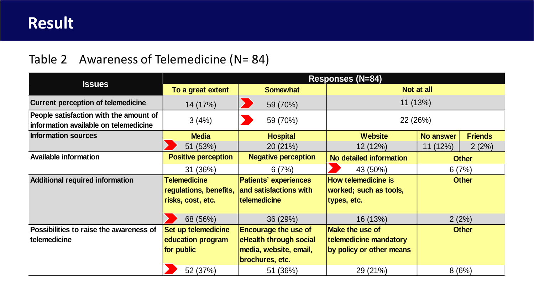#### Table 2 Awareness of Telemedicine (N= 84)

|                                                                                 | <b>Responses (N=84)</b>                                            |                                                                                                    |                                                                              |                  |                |  |  |  |
|---------------------------------------------------------------------------------|--------------------------------------------------------------------|----------------------------------------------------------------------------------------------------|------------------------------------------------------------------------------|------------------|----------------|--|--|--|
| <b>Issues</b>                                                                   | To a great extent                                                  | <b>Somewhat</b>                                                                                    | Not at all                                                                   |                  |                |  |  |  |
| <b>Current perception of telemedicine</b>                                       | 14 (17%)                                                           | 59 (70%)                                                                                           | 11(13%)                                                                      |                  |                |  |  |  |
| People satisfaction with the amount of<br>information available on telemedicine | 3(4%)<br>59 (70%)                                                  |                                                                                                    | 22 (26%)                                                                     |                  |                |  |  |  |
| <b>Information sources</b>                                                      | <b>Media</b>                                                       | <b>Hospital</b>                                                                                    | <b>Website</b>                                                               | <b>No answer</b> | <b>Friends</b> |  |  |  |
|                                                                                 | 51 (53%)                                                           | 20(21%)                                                                                            | 12(12%)                                                                      | 11(12%)          | 2(2%)          |  |  |  |
| <b>Available information</b>                                                    | <b>Positive perception</b>                                         | <b>Negative perception</b>                                                                         | No detailed information                                                      | <b>Other</b>     |                |  |  |  |
|                                                                                 | 31 (36%)                                                           | 6(7%)                                                                                              | 43 (50%)                                                                     | 6(7%)            |                |  |  |  |
| <b>Additional required information</b>                                          | <b>Telemedicine</b><br>regulations, benefits,<br>risks, cost, etc. | <b>Patients' experiences</b><br>and satisfactions with<br>telemedicine                             | How telemedicine is<br>worked; such as tools,<br>types, etc.                 | <b>Other</b>     |                |  |  |  |
|                                                                                 | 68 (56%)                                                           | 36 (29%)                                                                                           | 16 (13%)                                                                     | 2(2%)            |                |  |  |  |
| Possibilities to raise the awareness of<br>telemedicine                         | Set up telemedicine<br>education program<br>for public             | <b>Encourage the use of</b><br>eHealth through social<br>media, website, email,<br>brochures, etc. | <b>Make the use of</b><br>telemedicine mandatory<br>by policy or other means | <b>Other</b>     |                |  |  |  |
|                                                                                 | 52 (37%)                                                           | 51 (36%)                                                                                           | 29 (21%)                                                                     | 8(6%)            |                |  |  |  |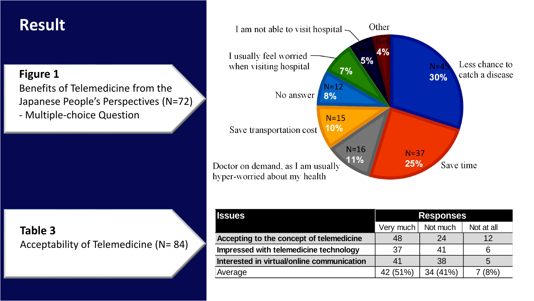#### **Figure 1**

Benefits of Telemedicine from the Japanese People's Perspectives (N=72) - Multiple-choice Question

### **Table 3** Acceptability of Telemedicine (N= 84)



| <b>Issues</b>                              | <b>Responses</b> |          |            |  |
|--------------------------------------------|------------------|----------|------------|--|
|                                            | Very much        | Not much | Not at all |  |
| Accepting to the concept of telemedicine   | 48               | 24       | 12         |  |
| Impressed with telemedicine technology     | 37               | 41       | 6          |  |
| Interested in virtual/online communication |                  | 38       | 5          |  |
| Average                                    | 42 (51%)         | 34 (41%) | (8%)       |  |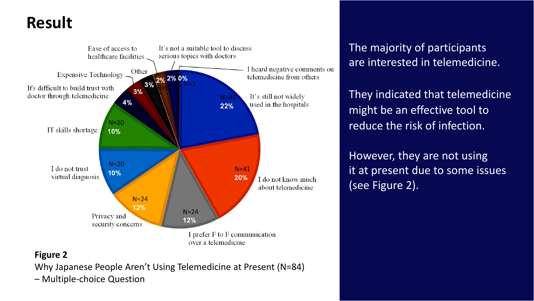

### The majority of participants are interested in telemedicine.

They indicated that telemedicine might be an effective tool to reduce the risk of infection.

However, they are not using it at present due to some issues (see Figure 2).

#### **Figure 2**

Why Japanese People Aren't Using Telemedicine at Present (N=84)

– Multiple-choice Question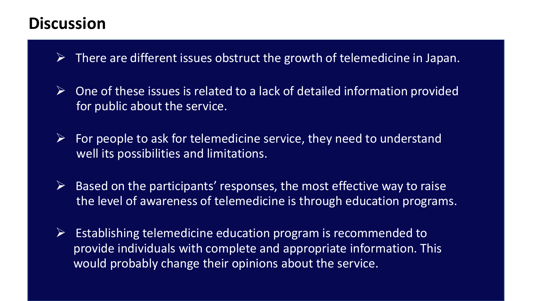### **Discussion**

- $\triangleright$  There are different issues obstruct the growth of telemedicine in Japan.
- $\triangleright$  One of these issues is related to a lack of detailed information provided for public about the service.
- $\triangleright$  For people to ask for telemedicine service, they need to understand well its possibilities and limitations.
- $\triangleright$  Based on the participants' responses, the most effective way to raise the level of awareness of telemedicine is through education programs.
- $\triangleright$  Establishing telemedicine education program is recommended to provide individuals with complete and appropriate information. This would probably change their opinions about the service.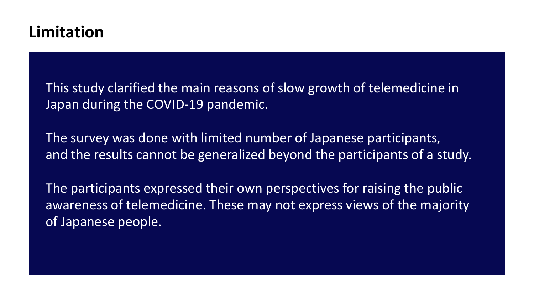This study clarified the main reasons of slow growth of telemedicine in Japan during the COVID-19 pandemic.

The survey was done with limited number of Japanese participants, and the results cannot be generalized beyond the participants of a study.

The participants expressed their own perspectives for raising the public awareness of telemedicine. These may not express views of the majority of Japanese people.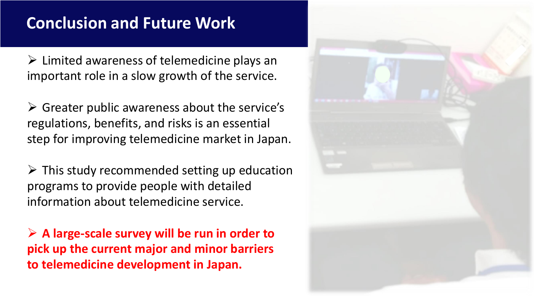## **Conclusion and Future Work**

 $\triangleright$  Limited awareness of telemedicine plays an important role in a slow growth of the service.

 $\triangleright$  Greater public awareness about the service's regulations, benefits, and risks is an essential step for improving telemedicine market in Japan.

 $\triangleright$  This study recommended setting up education programs to provide people with detailed information about telemedicine service.

➢ **A large-scale survey will be run in order to pick up the current major and minor barriers to telemedicine development in Japan.**